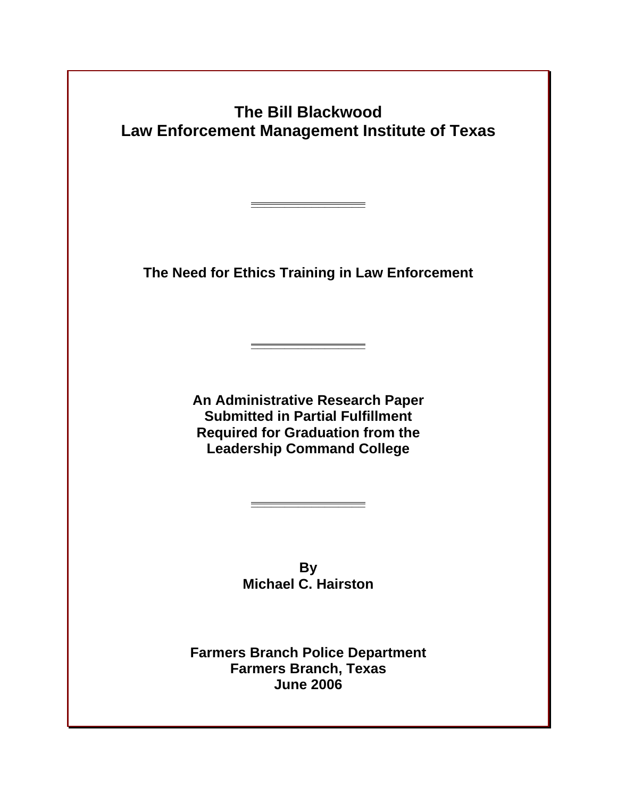**The Bill Blackwood Law Enforcement Management Institute of Texas** 

**The Need for Ethics Training in Law Enforcement** 

**\_\_\_\_\_\_\_\_\_\_\_\_\_\_\_\_\_**

**\_\_\_\_\_\_\_\_\_\_\_\_\_\_\_\_\_**

**An Administrative Research Paper Submitted in Partial Fulfillment Required for Graduation from the Leadership Command College**

> **By Michael C. Hairston**

**\_\_\_\_\_\_\_\_\_\_\_\_\_\_\_\_\_**

**Farmers Branch Police Department Farmers Branch, Texas June 2006**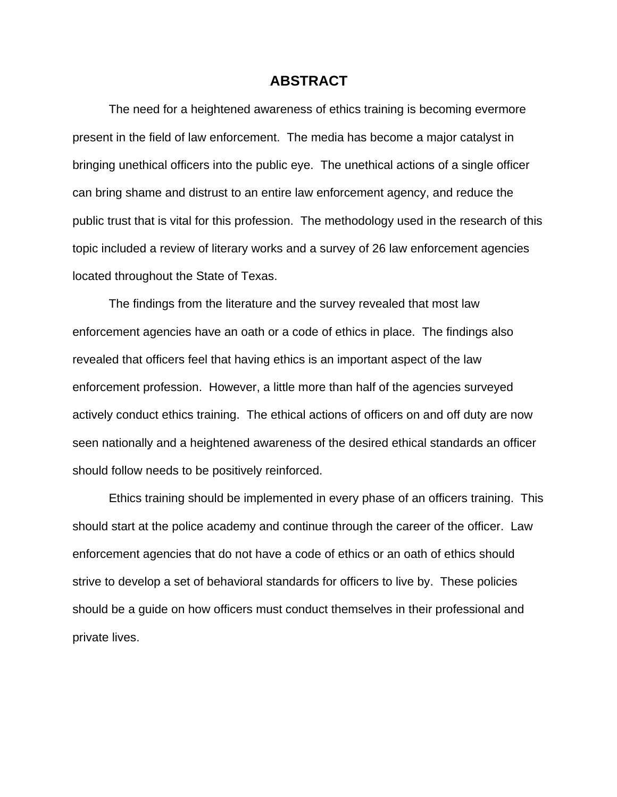#### 0B**ABSTRACT**

The need for a heightened awareness of ethics training is becoming evermore present in the field of law enforcement. The media has become a major catalyst in bringing unethical officers into the public eye. The unethical actions of a single officer can bring shame and distrust to an entire law enforcement agency, and reduce the public trust that is vital for this profession. The methodology used in the research of this topic included a review of literary works and a survey of 26 law enforcement agencies located throughout the State of Texas.

 The findings from the literature and the survey revealed that most law enforcement agencies have an oath or a code of ethics in place. The findings also revealed that officers feel that having ethics is an important aspect of the law enforcement profession. However, a little more than half of the agencies surveyed actively conduct ethics training. The ethical actions of officers on and off duty are now seen nationally and a heightened awareness of the desired ethical standards an officer should follow needs to be positively reinforced.

 Ethics training should be implemented in every phase of an officers training. This should start at the police academy and continue through the career of the officer. Law enforcement agencies that do not have a code of ethics or an oath of ethics should strive to develop a set of behavioral standards for officers to live by. These policies should be a guide on how officers must conduct themselves in their professional and private lives.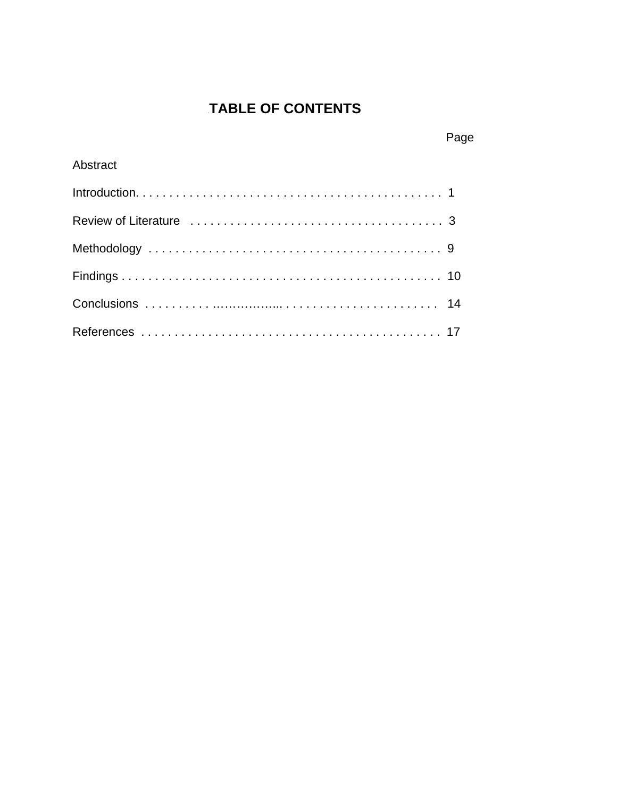# **TABLE OF CONTENTS**

### Abstract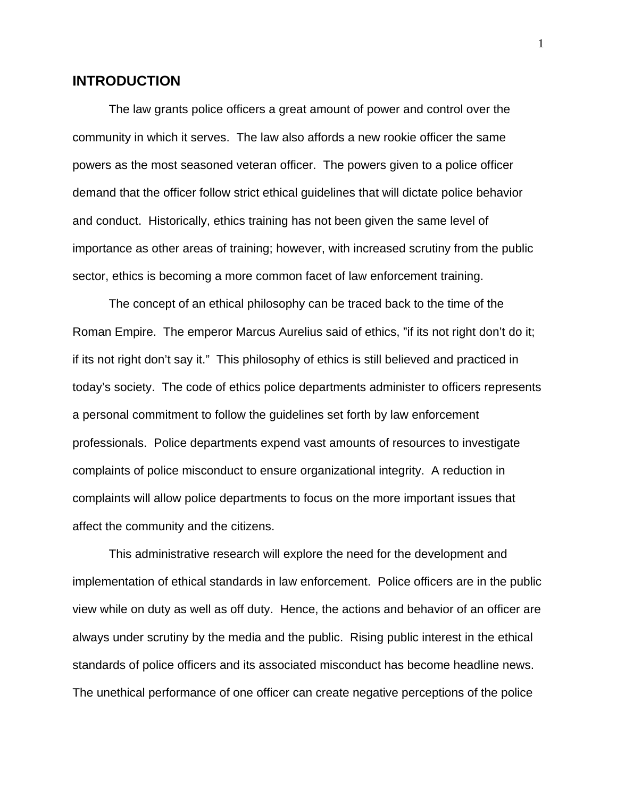#### **INTRODUCTION**

The law grants police officers a great amount of power and control over the community in which it serves. The law also affords a new rookie officer the same powers as the most seasoned veteran officer. The powers given to a police officer demand that the officer follow strict ethical guidelines that will dictate police behavior and conduct. Historically, ethics training has not been given the same level of importance as other areas of training; however, with increased scrutiny from the public sector, ethics is becoming a more common facet of law enforcement training.

The concept of an ethical philosophy can be traced back to the time of the Roman Empire. The emperor Marcus Aurelius said of ethics, "if its not right don't do it; if its not right don't say it." This philosophy of ethics is still believed and practiced in today's society. The code of ethics police departments administer to officers represents a personal commitment to follow the guidelines set forth by law enforcement professionals. Police departments expend vast amounts of resources to investigate complaints of police misconduct to ensure organizational integrity. A reduction in complaints will allow police departments to focus on the more important issues that affect the community and the citizens.

This administrative research will explore the need for the development and implementation of ethical standards in law enforcement. Police officers are in the public view while on duty as well as off duty. Hence, the actions and behavior of an officer are always under scrutiny by the media and the public. Rising public interest in the ethical standards of police officers and its associated misconduct has become headline news. The unethical performance of one officer can create negative perceptions of the police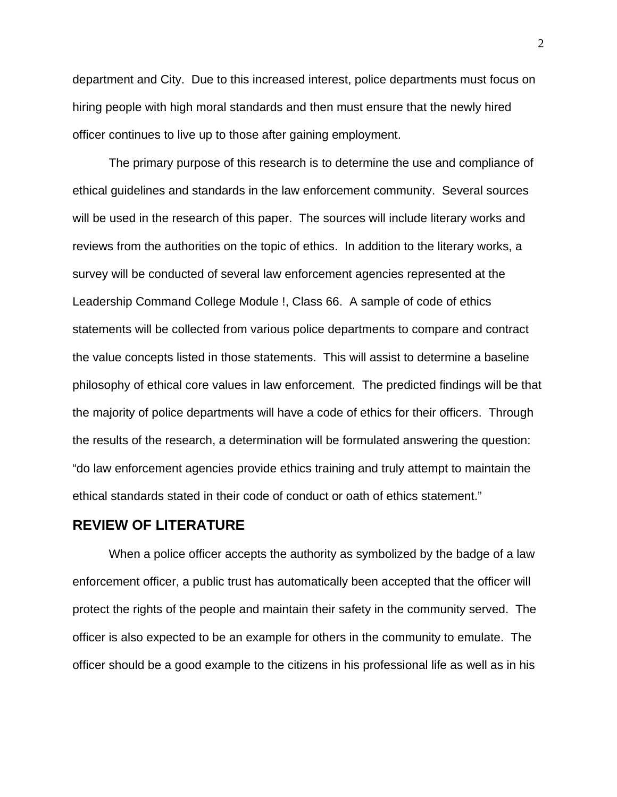department and City. Due to this increased interest, police departments must focus on hiring people with high moral standards and then must ensure that the newly hired officer continues to live up to those after gaining employment.

The primary purpose of this research is to determine the use and compliance of ethical guidelines and standards in the law enforcement community. Several sources will be used in the research of this paper. The sources will include literary works and reviews from the authorities on the topic of ethics. In addition to the literary works, a survey will be conducted of several law enforcement agencies represented at the Leadership Command College Module !, Class 66. A sample of code of ethics statements will be collected from various police departments to compare and contract the value concepts listed in those statements. This will assist to determine a baseline philosophy of ethical core values in law enforcement. The predicted findings will be that the majority of police departments will have a code of ethics for their officers. Through the results of the research, a determination will be formulated answering the question: "do law enforcement agencies provide ethics training and truly attempt to maintain the ethical standards stated in their code of conduct or oath of ethics statement."

#### **REVIEW OF LITERATURE**

When a police officer accepts the authority as symbolized by the badge of a law enforcement officer, a public trust has automatically been accepted that the officer will protect the rights of the people and maintain their safety in the community served. The officer is also expected to be an example for others in the community to emulate. The officer should be a good example to the citizens in his professional life as well as in his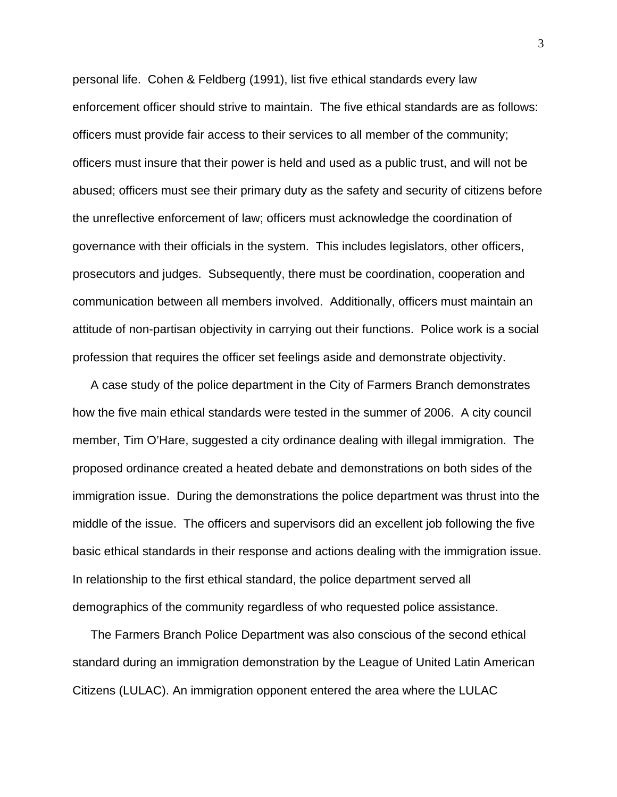personal life. Cohen & Feldberg (1991), list five ethical standards every law enforcement officer should strive to maintain. The five ethical standards are as follows: officers must provide fair access to their services to all member of the community; officers must insure that their power is held and used as a public trust, and will not be abused; officers must see their primary duty as the safety and security of citizens before the unreflective enforcement of law; officers must acknowledge the coordination of governance with their officials in the system. This includes legislators, other officers, prosecutors and judges. Subsequently, there must be coordination, cooperation and communication between all members involved. Additionally, officers must maintain an attitude of non-partisan objectivity in carrying out their functions. Police work is a social profession that requires the officer set feelings aside and demonstrate objectivity.

A case study of the police department in the City of Farmers Branch demonstrates how the five main ethical standards were tested in the summer of 2006. A city council member, Tim O'Hare, suggested a city ordinance dealing with illegal immigration. The proposed ordinance created a heated debate and demonstrations on both sides of the immigration issue. During the demonstrations the police department was thrust into the middle of the issue. The officers and supervisors did an excellent job following the five basic ethical standards in their response and actions dealing with the immigration issue. In relationship to the first ethical standard, the police department served all demographics of the community regardless of who requested police assistance.

The Farmers Branch Police Department was also conscious of the second ethical standard during an immigration demonstration by the League of United Latin American Citizens (LULAC). An immigration opponent entered the area where the LULAC

3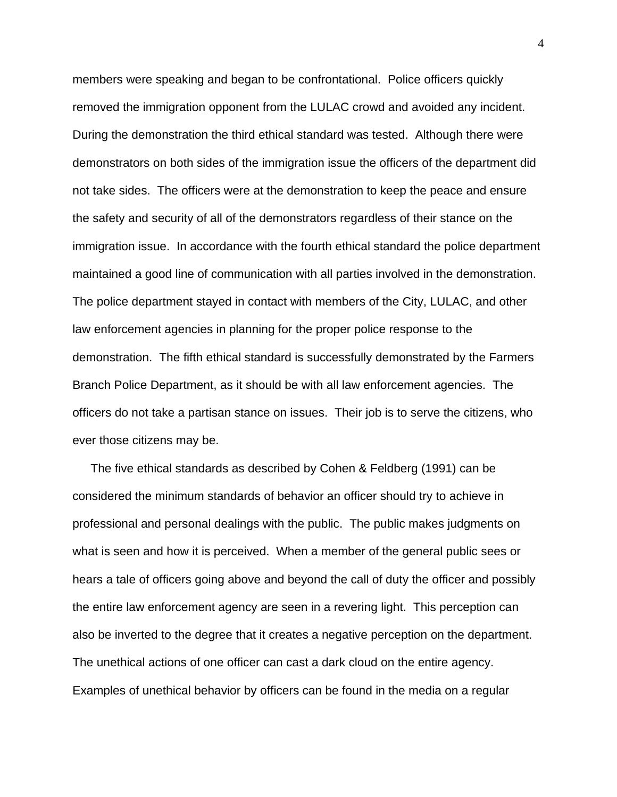members were speaking and began to be confrontational. Police officers quickly removed the immigration opponent from the LULAC crowd and avoided any incident. During the demonstration the third ethical standard was tested. Although there were demonstrators on both sides of the immigration issue the officers of the department did not take sides. The officers were at the demonstration to keep the peace and ensure the safety and security of all of the demonstrators regardless of their stance on the immigration issue. In accordance with the fourth ethical standard the police department maintained a good line of communication with all parties involved in the demonstration. The police department stayed in contact with members of the City, LULAC, and other law enforcement agencies in planning for the proper police response to the demonstration. The fifth ethical standard is successfully demonstrated by the Farmers Branch Police Department, as it should be with all law enforcement agencies. The officers do not take a partisan stance on issues. Their job is to serve the citizens, who ever those citizens may be.

The five ethical standards as described by Cohen & Feldberg (1991) can be considered the minimum standards of behavior an officer should try to achieve in professional and personal dealings with the public. The public makes judgments on what is seen and how it is perceived. When a member of the general public sees or hears a tale of officers going above and beyond the call of duty the officer and possibly the entire law enforcement agency are seen in a revering light. This perception can also be inverted to the degree that it creates a negative perception on the department. The unethical actions of one officer can cast a dark cloud on the entire agency. Examples of unethical behavior by officers can be found in the media on a regular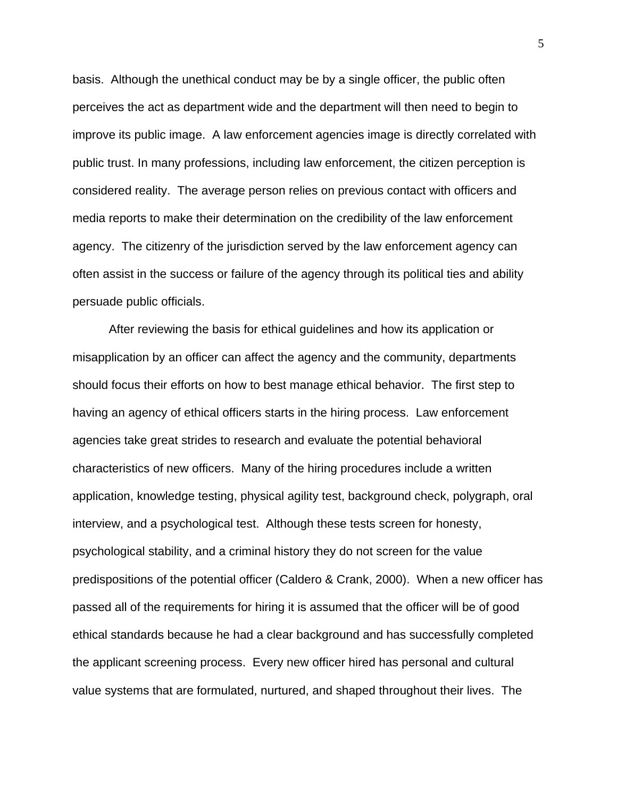basis. Although the unethical conduct may be by a single officer, the public often perceives the act as department wide and the department will then need to begin to improve its public image. A law enforcement agencies image is directly correlated with public trust. In many professions, including law enforcement, the citizen perception is considered reality. The average person relies on previous contact with officers and media reports to make their determination on the credibility of the law enforcement agency. The citizenry of the jurisdiction served by the law enforcement agency can often assist in the success or failure of the agency through its political ties and ability persuade public officials.

 After reviewing the basis for ethical guidelines and how its application or misapplication by an officer can affect the agency and the community, departments should focus their efforts on how to best manage ethical behavior. The first step to having an agency of ethical officers starts in the hiring process. Law enforcement agencies take great strides to research and evaluate the potential behavioral characteristics of new officers. Many of the hiring procedures include a written application, knowledge testing, physical agility test, background check, polygraph, oral interview, and a psychological test. Although these tests screen for honesty, psychological stability, and a criminal history they do not screen for the value predispositions of the potential officer (Caldero & Crank, 2000). When a new officer has passed all of the requirements for hiring it is assumed that the officer will be of good ethical standards because he had a clear background and has successfully completed the applicant screening process. Every new officer hired has personal and cultural value systems that are formulated, nurtured, and shaped throughout their lives. The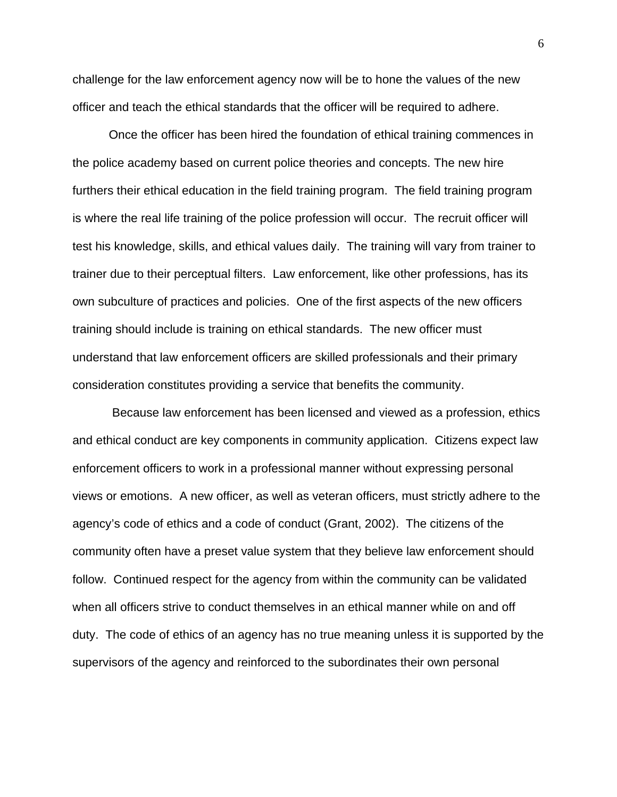challenge for the law enforcement agency now will be to hone the values of the new officer and teach the ethical standards that the officer will be required to adhere.

 Once the officer has been hired the foundation of ethical training commences in the police academy based on current police theories and concepts. The new hire furthers their ethical education in the field training program. The field training program is where the real life training of the police profession will occur. The recruit officer will test his knowledge, skills, and ethical values daily. The training will vary from trainer to trainer due to their perceptual filters. Law enforcement, like other professions, has its own subculture of practices and policies. One of the first aspects of the new officers training should include is training on ethical standards. The new officer must understand that law enforcement officers are skilled professionals and their primary consideration constitutes providing a service that benefits the community.

 Because law enforcement has been licensed and viewed as a profession, ethics and ethical conduct are key components in community application. Citizens expect law enforcement officers to work in a professional manner without expressing personal views or emotions. A new officer, as well as veteran officers, must strictly adhere to the agency's code of ethics and a code of conduct (Grant, 2002). The citizens of the community often have a preset value system that they believe law enforcement should follow. Continued respect for the agency from within the community can be validated when all officers strive to conduct themselves in an ethical manner while on and off duty. The code of ethics of an agency has no true meaning unless it is supported by the supervisors of the agency and reinforced to the subordinates their own personal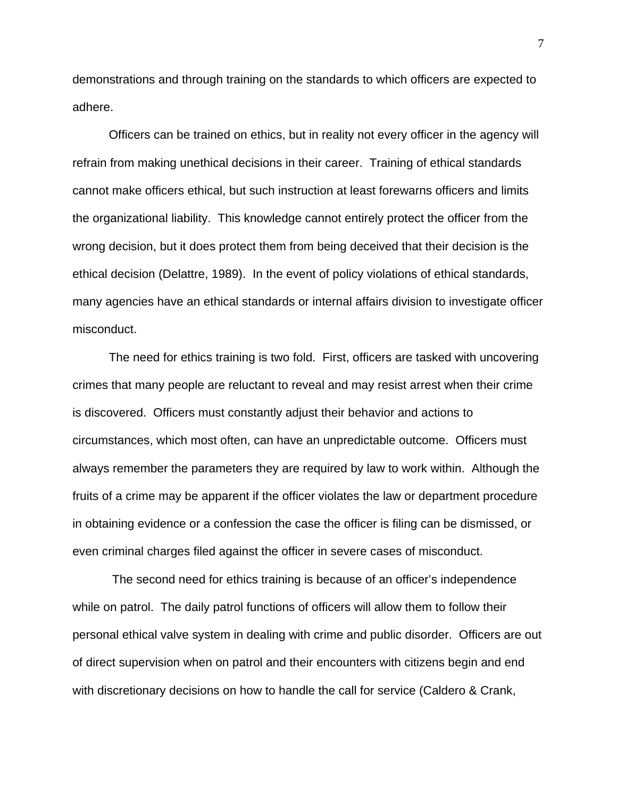demonstrations and through training on the standards to which officers are expected to adhere.

 Officers can be trained on ethics, but in reality not every officer in the agency will refrain from making unethical decisions in their career. Training of ethical standards cannot make officers ethical, but such instruction at least forewarns officers and limits the organizational liability. This knowledge cannot entirely protect the officer from the wrong decision, but it does protect them from being deceived that their decision is the ethical decision (Delattre, 1989). In the event of policy violations of ethical standards, many agencies have an ethical standards or internal affairs division to investigate officer misconduct.

 The need for ethics training is two fold. First, officers are tasked with uncovering crimes that many people are reluctant to reveal and may resist arrest when their crime is discovered. Officers must constantly adjust their behavior and actions to circumstances, which most often, can have an unpredictable outcome. Officers must always remember the parameters they are required by law to work within. Although the fruits of a crime may be apparent if the officer violates the law or department procedure in obtaining evidence or a confession the case the officer is filing can be dismissed, or even criminal charges filed against the officer in severe cases of misconduct.

 The second need for ethics training is because of an officer's independence while on patrol. The daily patrol functions of officers will allow them to follow their personal ethical valve system in dealing with crime and public disorder. Officers are out of direct supervision when on patrol and their encounters with citizens begin and end with discretionary decisions on how to handle the call for service (Caldero & Crank,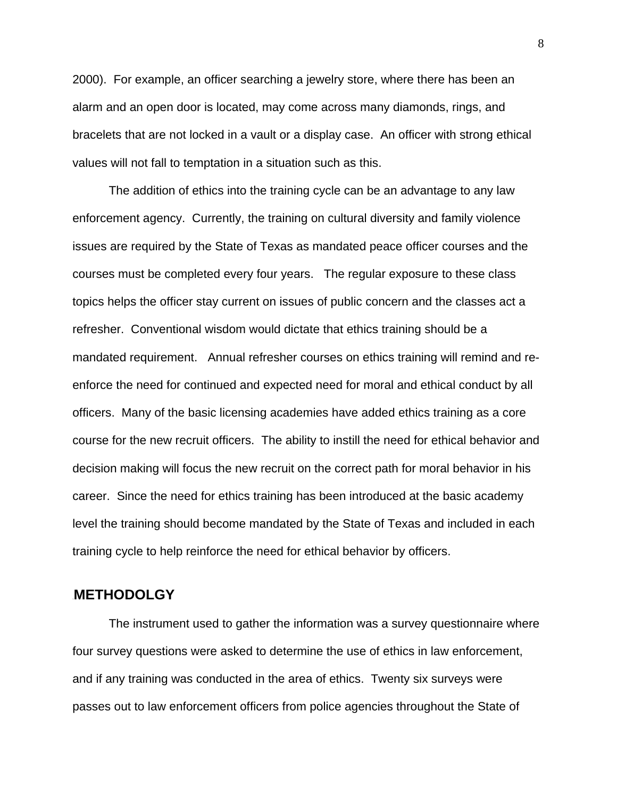2000). For example, an officer searching a jewelry store, where there has been an alarm and an open door is located, may come across many diamonds, rings, and bracelets that are not locked in a vault or a display case. An officer with strong ethical values will not fall to temptation in a situation such as this.

 The addition of ethics into the training cycle can be an advantage to any law enforcement agency. Currently, the training on cultural diversity and family violence issues are required by the State of Texas as mandated peace officer courses and the courses must be completed every four years. The regular exposure to these class topics helps the officer stay current on issues of public concern and the classes act a refresher. Conventional wisdom would dictate that ethics training should be a mandated requirement. Annual refresher courses on ethics training will remind and reenforce the need for continued and expected need for moral and ethical conduct by all officers. Many of the basic licensing academies have added ethics training as a core course for the new recruit officers. The ability to instill the need for ethical behavior and decision making will focus the new recruit on the correct path for moral behavior in his career. Since the need for ethics training has been introduced at the basic academy level the training should become mandated by the State of Texas and included in each training cycle to help reinforce the need for ethical behavior by officers.

#### 2B**METHODOLGY**

The instrument used to gather the information was a survey questionnaire where four survey questions were asked to determine the use of ethics in law enforcement, and if any training was conducted in the area of ethics. Twenty six surveys were passes out to law enforcement officers from police agencies throughout the State of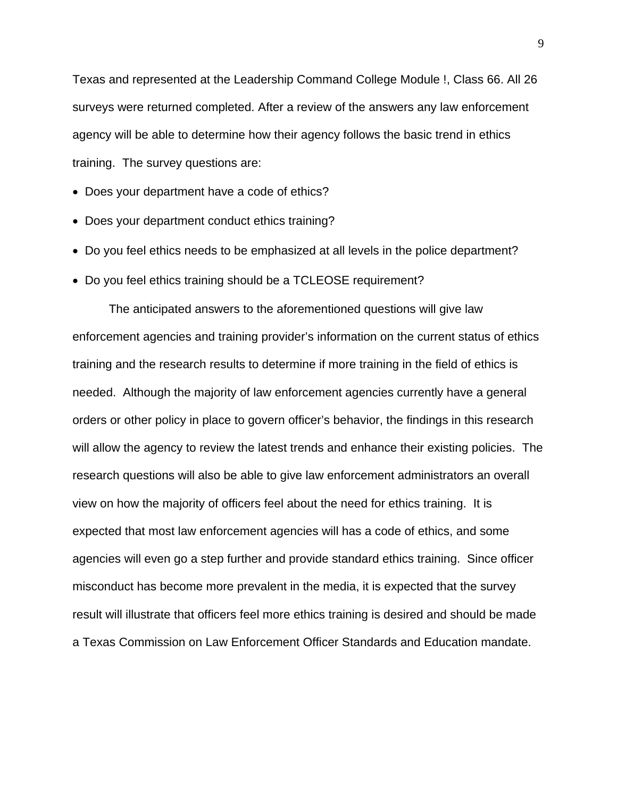Texas and represented at the Leadership Command College Module !, Class 66. All 26 surveys were returned completed. After a review of the answers any law enforcement agency will be able to determine how their agency follows the basic trend in ethics training. The survey questions are:

- Does your department have a code of ethics?
- Does your department conduct ethics training?
- Do you feel ethics needs to be emphasized at all levels in the police department?
- Do you feel ethics training should be a TCLEOSE requirement?

The anticipated answers to the aforementioned questions will give law enforcement agencies and training provider's information on the current status of ethics training and the research results to determine if more training in the field of ethics is needed. Although the majority of law enforcement agencies currently have a general orders or other policy in place to govern officer's behavior, the findings in this research will allow the agency to review the latest trends and enhance their existing policies. The research questions will also be able to give law enforcement administrators an overall view on how the majority of officers feel about the need for ethics training. It is expected that most law enforcement agencies will has a code of ethics, and some agencies will even go a step further and provide standard ethics training. Since officer misconduct has become more prevalent in the media, it is expected that the survey result will illustrate that officers feel more ethics training is desired and should be made a Texas Commission on Law Enforcement Officer Standards and Education mandate.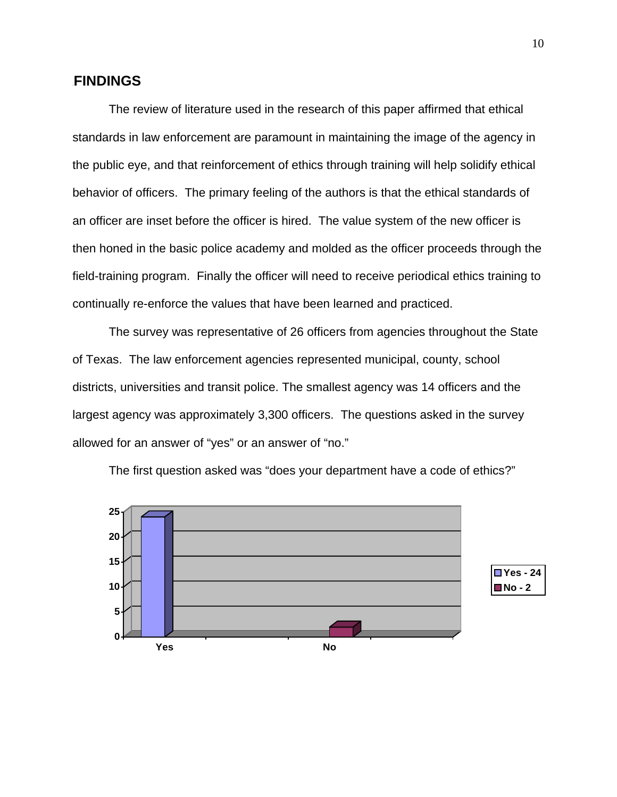#### 3B**FINDINGS**

The review of literature used in the research of this paper affirmed that ethical standards in law enforcement are paramount in maintaining the image of the agency in the public eye, and that reinforcement of ethics through training will help solidify ethical behavior of officers. The primary feeling of the authors is that the ethical standards of an officer are inset before the officer is hired. The value system of the new officer is then honed in the basic police academy and molded as the officer proceeds through the field-training program. Finally the officer will need to receive periodical ethics training to continually re-enforce the values that have been learned and practiced.

 The survey was representative of 26 officers from agencies throughout the State of Texas. The law enforcement agencies represented municipal, county, school districts, universities and transit police. The smallest agency was 14 officers and the largest agency was approximately 3,300 officers. The questions asked in the survey allowed for an answer of "yes" or an answer of "no."



The first question asked was "does your department have a code of ethics?"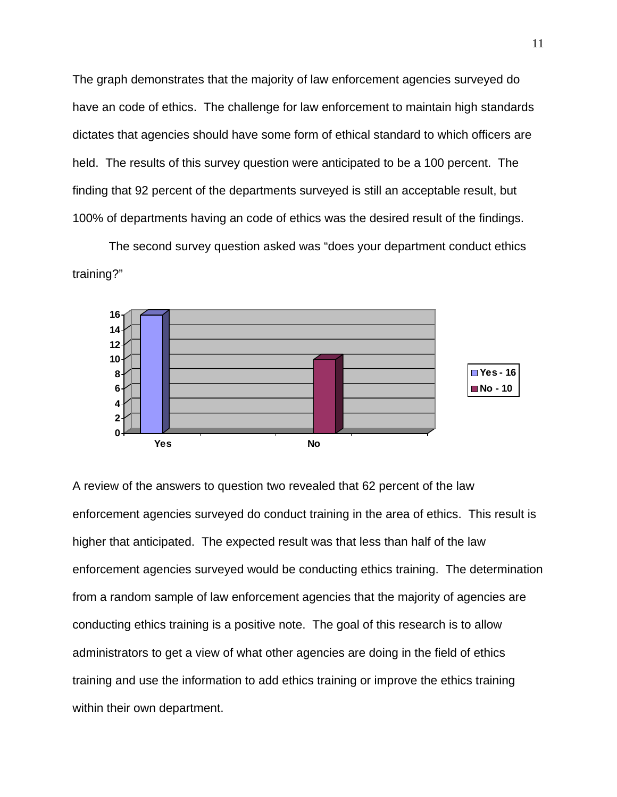The graph demonstrates that the majority of law enforcement agencies surveyed do have an code of ethics. The challenge for law enforcement to maintain high standards dictates that agencies should have some form of ethical standard to which officers are held. The results of this survey question were anticipated to be a 100 percent. The finding that 92 percent of the departments surveyed is still an acceptable result, but 100% of departments having an code of ethics was the desired result of the findings.

 The second survey question asked was "does your department conduct ethics training?"



A review of the answers to question two revealed that 62 percent of the law enforcement agencies surveyed do conduct training in the area of ethics. This result is higher that anticipated. The expected result was that less than half of the law enforcement agencies surveyed would be conducting ethics training. The determination from a random sample of law enforcement agencies that the majority of agencies are conducting ethics training is a positive note. The goal of this research is to allow administrators to get a view of what other agencies are doing in the field of ethics training and use the information to add ethics training or improve the ethics training within their own department.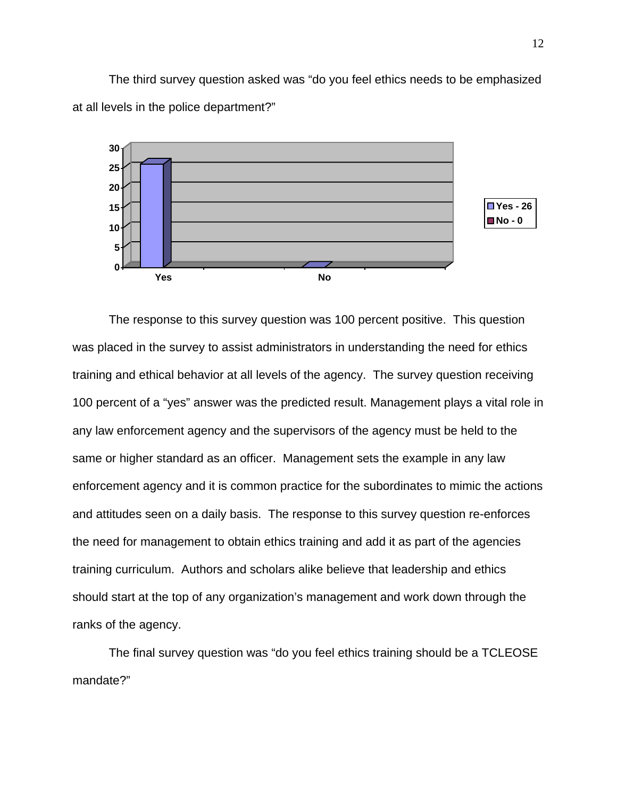The third survey question asked was "do you feel ethics needs to be emphasized at all levels in the police department?"



The response to this survey question was 100 percent positive. This question was placed in the survey to assist administrators in understanding the need for ethics training and ethical behavior at all levels of the agency. The survey question receiving 100 percent of a "yes" answer was the predicted result. Management plays a vital role in any law enforcement agency and the supervisors of the agency must be held to the same or higher standard as an officer. Management sets the example in any law enforcement agency and it is common practice for the subordinates to mimic the actions and attitudes seen on a daily basis. The response to this survey question re-enforces the need for management to obtain ethics training and add it as part of the agencies training curriculum. Authors and scholars alike believe that leadership and ethics should start at the top of any organization's management and work down through the ranks of the agency.

 The final survey question was "do you feel ethics training should be a TCLEOSE mandate?"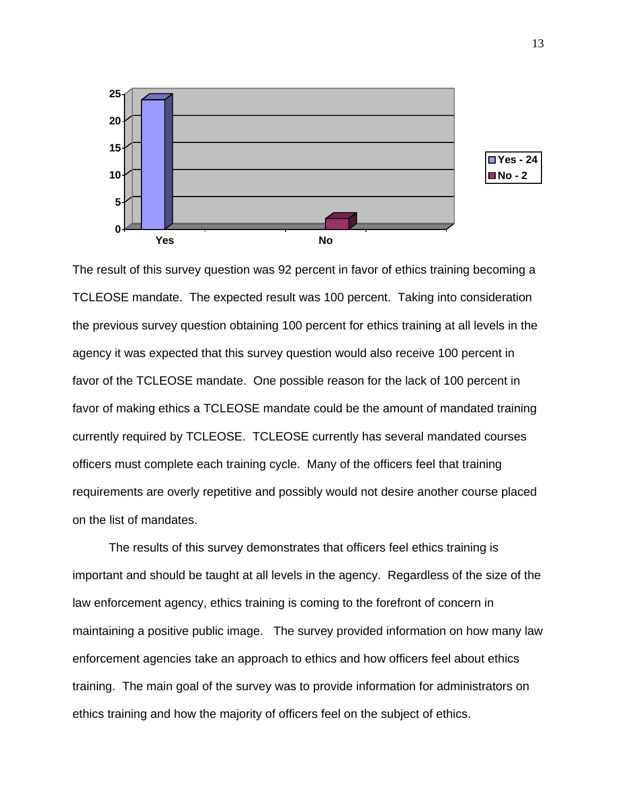

The result of this survey question was 92 percent in favor of ethics training becoming a TCLEOSE mandate. The expected result was 100 percent. Taking into consideration the previous survey question obtaining 100 percent for ethics training at all levels in the agency it was expected that this survey question would also receive 100 percent in favor of the TCLEOSE mandate. One possible reason for the lack of 100 percent in favor of making ethics a TCLEOSE mandate could be the amount of mandated training currently required by TCLEOSE. TCLEOSE currently has several mandated courses officers must complete each training cycle. Many of the officers feel that training requirements are overly repetitive and possibly would not desire another course placed on the list of mandates.

The results of this survey demonstrates that officers feel ethics training is important and should be taught at all levels in the agency. Regardless of the size of the law enforcement agency, ethics training is coming to the forefront of concern in maintaining a positive public image. The survey provided information on how many law enforcement agencies take an approach to ethics and how officers feel about ethics training. The main goal of the survey was to provide information for administrators on ethics training and how the majority of officers feel on the subject of ethics.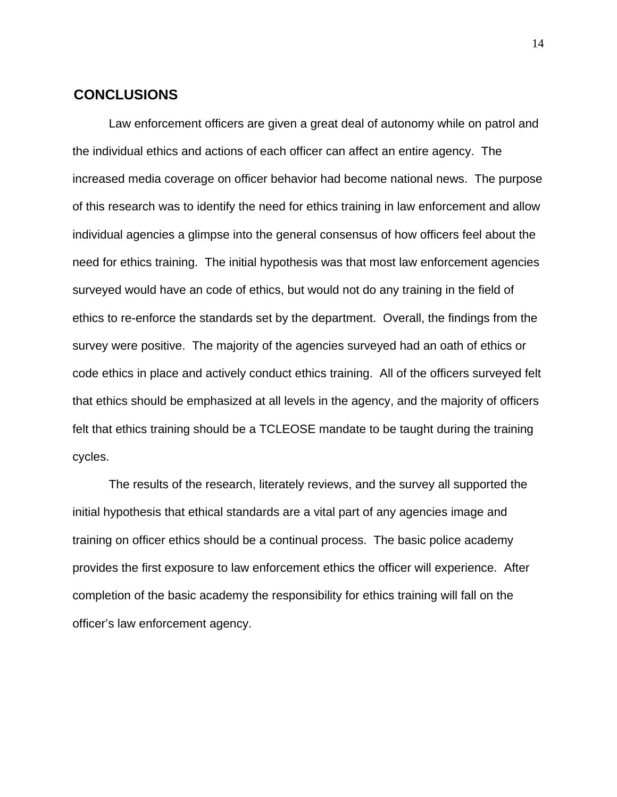#### 4B**CONCLUSIONS**

Law enforcement officers are given a great deal of autonomy while on patrol and the individual ethics and actions of each officer can affect an entire agency. The increased media coverage on officer behavior had become national news. The purpose of this research was to identify the need for ethics training in law enforcement and allow individual agencies a glimpse into the general consensus of how officers feel about the need for ethics training. The initial hypothesis was that most law enforcement agencies surveyed would have an code of ethics, but would not do any training in the field of ethics to re-enforce the standards set by the department. Overall, the findings from the survey were positive. The majority of the agencies surveyed had an oath of ethics or code ethics in place and actively conduct ethics training. All of the officers surveyed felt that ethics should be emphasized at all levels in the agency, and the majority of officers felt that ethics training should be a TCLEOSE mandate to be taught during the training cycles.

 The results of the research, literately reviews, and the survey all supported the initial hypothesis that ethical standards are a vital part of any agencies image and training on officer ethics should be a continual process. The basic police academy provides the first exposure to law enforcement ethics the officer will experience. After completion of the basic academy the responsibility for ethics training will fall on the officer's law enforcement agency.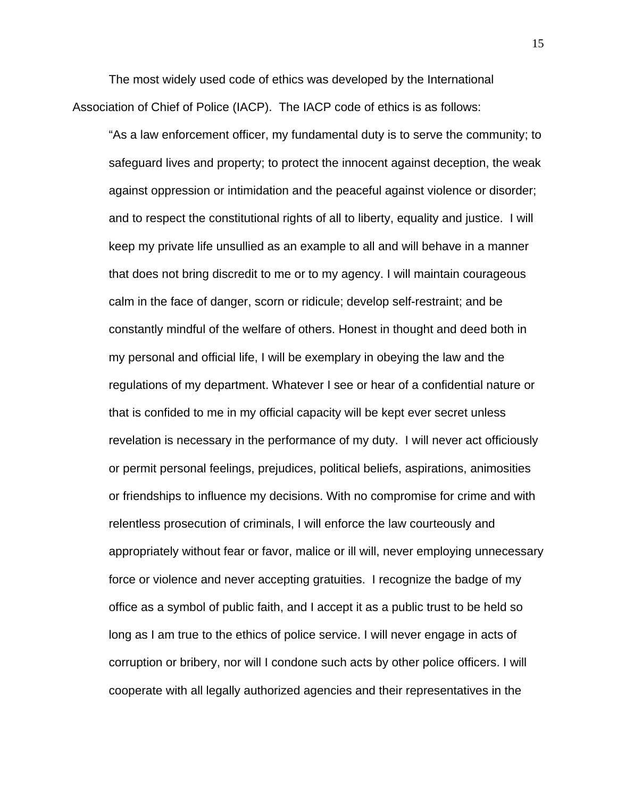The most widely used code of ethics was developed by the International Association of Chief of Police (IACP). The IACP code of ethics is as follows:

"As a law enforcement officer, my fundamental duty is to serve the community; to safeguard lives and property; to protect the innocent against deception, the weak against oppression or intimidation and the peaceful against violence or disorder; and to respect the constitutional rights of all to liberty, equality and justice. I will keep my private life unsullied as an example to all and will behave in a manner that does not bring discredit to me or to my agency. I will maintain courageous calm in the face of danger, scorn or ridicule; develop self-restraint; and be constantly mindful of the welfare of others. Honest in thought and deed both in my personal and official life, I will be exemplary in obeying the law and the regulations of my department. Whatever I see or hear of a confidential nature or that is confided to me in my official capacity will be kept ever secret unless revelation is necessary in the performance of my duty. I will never act officiously or permit personal feelings, prejudices, political beliefs, aspirations, animosities or friendships to influence my decisions. With no compromise for crime and with relentless prosecution of criminals, I will enforce the law courteously and appropriately without fear or favor, malice or ill will, never employing unnecessary force or violence and never accepting gratuities. I recognize the badge of my office as a symbol of public faith, and I accept it as a public trust to be held so long as I am true to the ethics of police service. I will never engage in acts of corruption or bribery, nor will I condone such acts by other police officers. I will cooperate with all legally authorized agencies and their representatives in the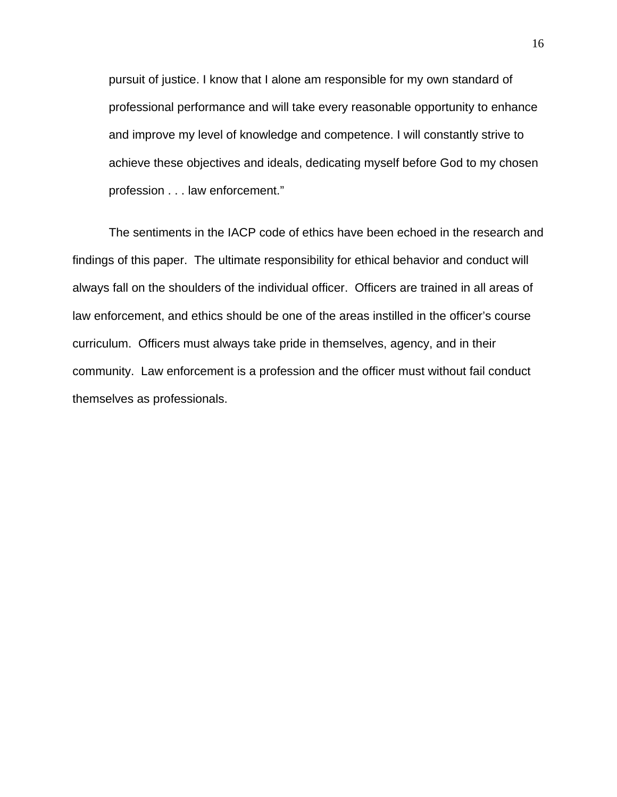pursuit of justice. I know that I alone am responsible for my own standard of professional performance and will take every reasonable opportunity to enhance and improve my level of knowledge and competence. I will constantly strive to achieve these objectives and ideals, dedicating myself before God to my chosen profession . . . law enforcement."

 The sentiments in the IACP code of ethics have been echoed in the research and findings of this paper. The ultimate responsibility for ethical behavior and conduct will always fall on the shoulders of the individual officer. Officers are trained in all areas of law enforcement, and ethics should be one of the areas instilled in the officer's course curriculum. Officers must always take pride in themselves, agency, and in their community. Law enforcement is a profession and the officer must without fail conduct themselves as professionals.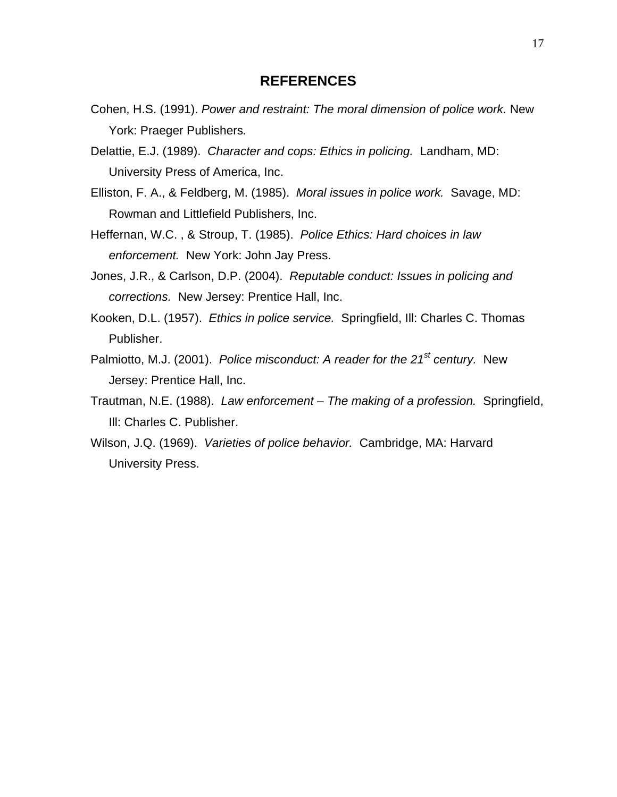#### **REFERENCES**

- Cohen, H.S. (1991). *Power and restraint: The moral dimension of police work.* New York: Praeger Publishers*.*
- Delattie, E.J. (1989). *Character and cops: Ethics in policing.* Landham, MD: University Press of America, Inc.
- Elliston, F. A., & Feldberg, M. (1985). *Moral issues in police work.* Savage, MD: Rowman and Littlefield Publishers, Inc.
- Heffernan, W.C. , & Stroup, T. (1985). *Police Ethics: Hard choices in law enforcement.* New York: John Jay Press.
- Jones, J.R., & Carlson, D.P. (2004). *Reputable conduct: Issues in policing and corrections.* New Jersey: Prentice Hall, Inc.
- Kooken, D.L. (1957). *Ethics in police service.* Springfield, Ill: Charles C. Thomas Publisher.
- Palmiotto, M.J. (2001). *Police misconduct: A reader for the 21st century.* New Jersey: Prentice Hall, Inc.
- Trautman, N.E. (1988). *Law enforcement The making of a profession.* Springfield, Ill: Charles C. Publisher.
- Wilson, J.Q. (1969). *Varieties of police behavior.* Cambridge, MA: Harvard University Press.